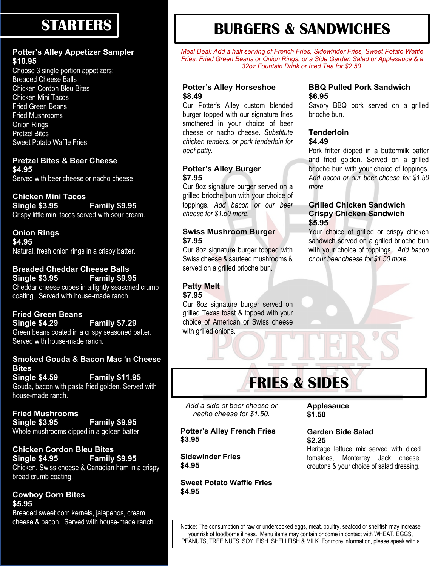## **STARTERS**

### **Potter's Alley Appetizer Sampler \$10.95**

Choose 3 single portion appetizers: Breaded Cheese Balls Chicken Cordon Bleu Bites Chicken Mini Tacos Fried Green Beans Fried Mushrooms Onion Rings Pretzel Bites Sweet Potato Waffle Fries

### **Pretzel Bites & Beer Cheese \$4.95**

Served with beer cheese or nacho cheese.

### **Chicken Mini Tacos**

**Single \$3.95 Family \$9.95** Crispy little mini tacos served with sour cream.

**Onion Rings \$4.95** Natural, fresh onion rings in a crispy batter.

### **Breaded Cheddar Cheese Balls Single \$3.95 Family \$9.95** Cheddar cheese cubes in a lightly seasoned crumb

coating. Served with house-made ranch.

### **Fried Green Beans Single \$4.29 Family \$7.29**

Green beans coated in a crispy seasoned batter. Served with house-made ranch.

### **Smoked Gouda & Bacon Mac 'n Cheese Bites Single \$4.59 Family \$11.95**

Gouda, bacon with pasta fried golden. Served with house-made ranch.

### **Fried Mushrooms Single \$3.95 Family \$9.95** Whole mushrooms dipped in a golden batter.

**Chicken Cordon Bleu Bites Single \$4.95 Family \$9.95** Chicken, Swiss cheese & Canadian ham in a crispy bread crumb coating.

### **Cowboy Corn Bites \$5.95**

Breaded sweet corn kernels, jalapenos, cream

# **BURGERS & SANDWICHES**

*Meal Deal: Add a half serving of French Fries, Sidewinder Fries, Sweet Potato Waffle Fries, Fried Green Beans or Onion Rings, or a Side Garden Salad or Applesauce & a 32oz Fountain Drink or Iced Tea for \$2.50.*

### **Potter's Alley Horseshoe \$8.49**

Our Potter's Alley custom blended burger topped with our signature fries smothered in your choice of beer cheese or nacho cheese. *Substitute chicken tenders, or pork tenderloin for beef patty.*

### **Potter's Alley Burger \$7.95**

Our 8oz signature burger served on a grilled brioche bun with your choice of toppings. *Add bacon or our beer cheese for \$1.50 more.*

### **Swiss Mushroom Burger \$7.95**

Our 8oz signature burger topped with Swiss cheese & sauteed mushrooms & served on a grilled brioche bun.

### **Patty Melt**

**\$7.95**

Our 8oz signature burger served on grilled Texas toast & topped with your choice of American or Swiss cheese with grilled onions.

### **BBQ Pulled Pork Sandwich \$6.95**

Savory BBQ pork served on a grilled brioche bun.

#### **Tenderloin \$4.49**

Pork fritter dipped in a buttermilk batter and fried golden. Served on a grilled brioche bun with your choice of toppings. *Add bacon or our beer cheese for \$1.50 more*

### **Grilled Chicken Sandwich Crispy Chicken Sandwich \$5.95**

Your choice of grilled or crispy chicken sandwich served on a grilled brioche bun with your choice of toppings. *Add bacon or our beer cheese for \$1.50 more.*

# **FRIES & SIDES**

*Add a side of beer cheese or nacho cheese for \$1.50.*

**Potter's Alley French Fries \$3.95**

**Sidewinder Fries \$4.95**

**Sweet Potato Waffle Fries \$4.95**

**Applesauce \$1.50**

### **Garden Side Salad \$2.25**

Heritage lettuce mix served with diced tomatoes, Monterrey Jack cheese, croutons & your choice of salad dressing.

cheese & bacon. Served with house-made ranch.<br>Notice: The consumption of raw or undercooked eggs, meat, poultry, seafood or shellfish may increase your risk of foodborne illness. Menu items may contain or come in contact with WHEAT, EGGS, PEANUTS, TREE NUTS, SOY, FISH, SHELLFISH & MILK. For more information, please speak with a

manager.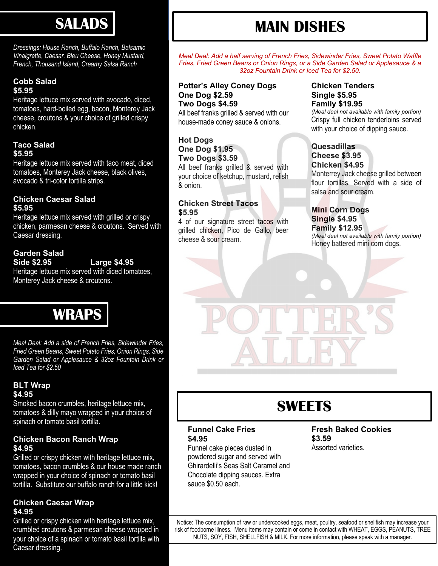**SALADS** 

*Dressings: House Ranch, Buffalo Ranch, Balsamic Vinaigrette, Caesar, Bleu Cheese, Honey Mustard, French, Thousand Island, Creamy Salsa Ranch*

### **Cobb Salad \$5.95**

Heritage lettuce mix served with avocado, diced, tomatoes, hard-boiled egg, bacon, Monterey Jack cheese, croutons & your choice of grilled crispy chicken.

### **Taco Salad \$5.95**

Heritage lettuce mix served with taco meat, diced tomatoes, Monterey Jack cheese, black olives, avocado & tri-color tortilla strips.

### **Chicken Caesar Salad \$5.95**

Heritage lettuce mix served with grilled or crispy chicken, parmesan cheese & croutons. Served with Caesar dressing.

### **Garden Salad**

### **Side \$2.95 Large \$4.95**

Heritage lettuce mix served with diced tomatoes, Monterey Jack cheese & croutons.



*Meal Deal: Add a side of French Fries, Sidewinder Fries, Fried Green Beans, Sweet Potato Fries, Onion Rings, Side Garden Salad or Applesauce & 32oz Fountain Drink or Iced Tea for \$2.50*

### **BLT Wrap \$4.95**

Smoked bacon crumbles, heritage lettuce mix, tomatoes & dilly mayo wrapped in your choice of spinach or tomato basil tortilla.

### **Chicken Bacon Ranch Wrap \$4.95**

Grilled or crispy chicken with heritage lettuce mix, tomatoes, bacon crumbles & our house made ranch wrapped in your choice of spinach or tomato basil tortilla. Substitute our buffalo ranch for a little kick!

### **Chicken Caesar Wrap \$4.95**

Grilled or crispy chicken with heritage lettuce mix, crumbled croutons & parmesan cheese wrapped in your choice of a spinach or tomato basil tortilla with Caesar dressing.

# **MAIN DISHES**

*Meal Deal: Add a half serving of French Fries, Sidewinder Fries, Sweet Potato Waffle Fries, Fried Green Beans or Onion Rings, or a Side Garden Salad or Applesauce & a 32oz Fountain Drink or Iced Tea for \$2.50.*

### **Potter's Alley Coney Dogs One Dog \$2.59 Two Dogs \$4.59**

All beef franks grilled & served with our house-made coney sauce & onions.

### **Hot Dogs One Dog \$1.95 Two Dogs \$3.59**

All beef franks grilled & served with your choice of ketchup, mustard, relish & onion.

### **Chicken Street Tacos \$5.95**

4 of our signature street tacos with grilled chicken, Pico de Gallo, beer cheese & sour cream.

### **Chicken Tenders Single \$5.95 Family \$19.95**

*(Meal deal not available with family portion)* Crispy full chicken tenderloins served with your choice of dipping sauce.

### **Quesadillas Cheese \$3.95 Chicken \$4.95**

Monterrey Jack cheese grilled between flour tortillas. Served with a side of salsa and sour cream.

### **Mini Corn Dogs Single \$4.95 Family \$12.95**

*(Meal deal not available with family portion)* Honey battered mini corn dogs.



# **SWEETS**

### **Funnel Cake Fries \$4.95**

Funnel cake pieces dusted in powdered sugar and served with Ghirardelli's Seas Salt Caramel and Chocolate dipping sauces. Extra sauce \$0.50 each.

### **Fresh Baked Cookies \$3.59** Assorted varieties.

Notice: The consumption of raw or undercooked eggs, meat, poultry, seafood or shellfish may increase your risk of foodborne illness. Menu items may contain or come in contact with WHEAT, EGGS, PEANUTS, TREE NUTS, SOY, FISH, SHELLFISH & MILK. For more information, please speak with a manager.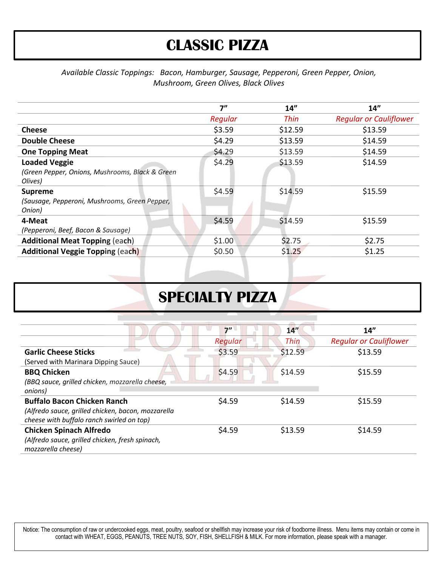## **CLASSIC PIZZA**

### *Available Classic Toppings: Bacon, Hamburger, Sausage, Pepperoni, Green Pepper, Onion, Mushroom, Green Olives, Black Olives*

|                                                 | 7"      | 14"         | 14"                           |
|-------------------------------------------------|---------|-------------|-------------------------------|
|                                                 | Regular | <b>Thin</b> | <b>Regular or Cauliflower</b> |
| <b>Cheese</b>                                   | \$3.59  | \$12.59     | \$13.59                       |
| <b>Double Cheese</b>                            | \$4.29  | \$13.59     | \$14.59                       |
| <b>One Topping Meat</b>                         | \$4.29  | \$13.59     | \$14.59                       |
| <b>Loaded Veggie</b>                            | \$4.29  | \$13.59     | \$14.59                       |
| (Green Pepper, Onions, Mushrooms, Black & Green |         |             |                               |
| Olives)                                         |         |             |                               |
| <b>Supreme</b>                                  | \$4.59  | \$14.59     | \$15.59                       |
| (Sausage, Pepperoni, Mushrooms, Green Pepper,   |         |             |                               |
| Onion)                                          |         |             |                               |
| 4-Meat                                          | \$4.59  | \$14.59     | \$15.59                       |
| (Pepperoni, Beef, Bacon & Sausage)              |         |             |                               |
| <b>Additional Meat Topping (each)</b>           | \$1.00  | \$2.75      | \$2.75                        |
| <b>Additional Veggie Topping (each)</b>         | \$0.50  | \$1.25      | \$1.25                        |
|                                                 |         |             |                               |

## **SPECIALTY PIZZA**

|                                                    | 7''     | 14''    | 14"                           |
|----------------------------------------------------|---------|---------|-------------------------------|
|                                                    | Regular | Thin    | <b>Regular or Cauliflower</b> |
| <b>Garlic Cheese Sticks</b>                        | \$3.59  | \$12.59 | \$13.59                       |
| (Served with Marinara Dipping Sauce)               |         |         |                               |
| <b>BBQ Chicken</b>                                 | \$4.59  | \$14.59 | \$15.59                       |
| (BBQ sauce, grilled chicken, mozzarella cheese,    |         |         |                               |
| onions)                                            |         |         |                               |
| <b>Buffalo Bacon Chicken Ranch</b>                 | \$4.59  | \$14.59 | \$15.59                       |
| (Alfredo sauce, grilled chicken, bacon, mozzarella |         |         |                               |
| cheese with buffalo ranch swirled on top)          |         |         |                               |
| <b>Chicken Spinach Alfredo</b>                     | \$4.59  | \$13.59 | \$14.59                       |
| (Alfredo sauce, grilled chicken, fresh spinach,    |         |         |                               |
| mozzarella cheese)                                 |         |         |                               |

Notice: The consumption of raw or undercooked eggs, meat, poultry, seafood or shellfish may increase your risk of foodborne illness. Menu items may contain or come in contact with WHEAT, EGGS, PEANUTS, TREE NUTS, SOY, FISH, SHELLFISH & MILK. For more information, please speak with a manager.